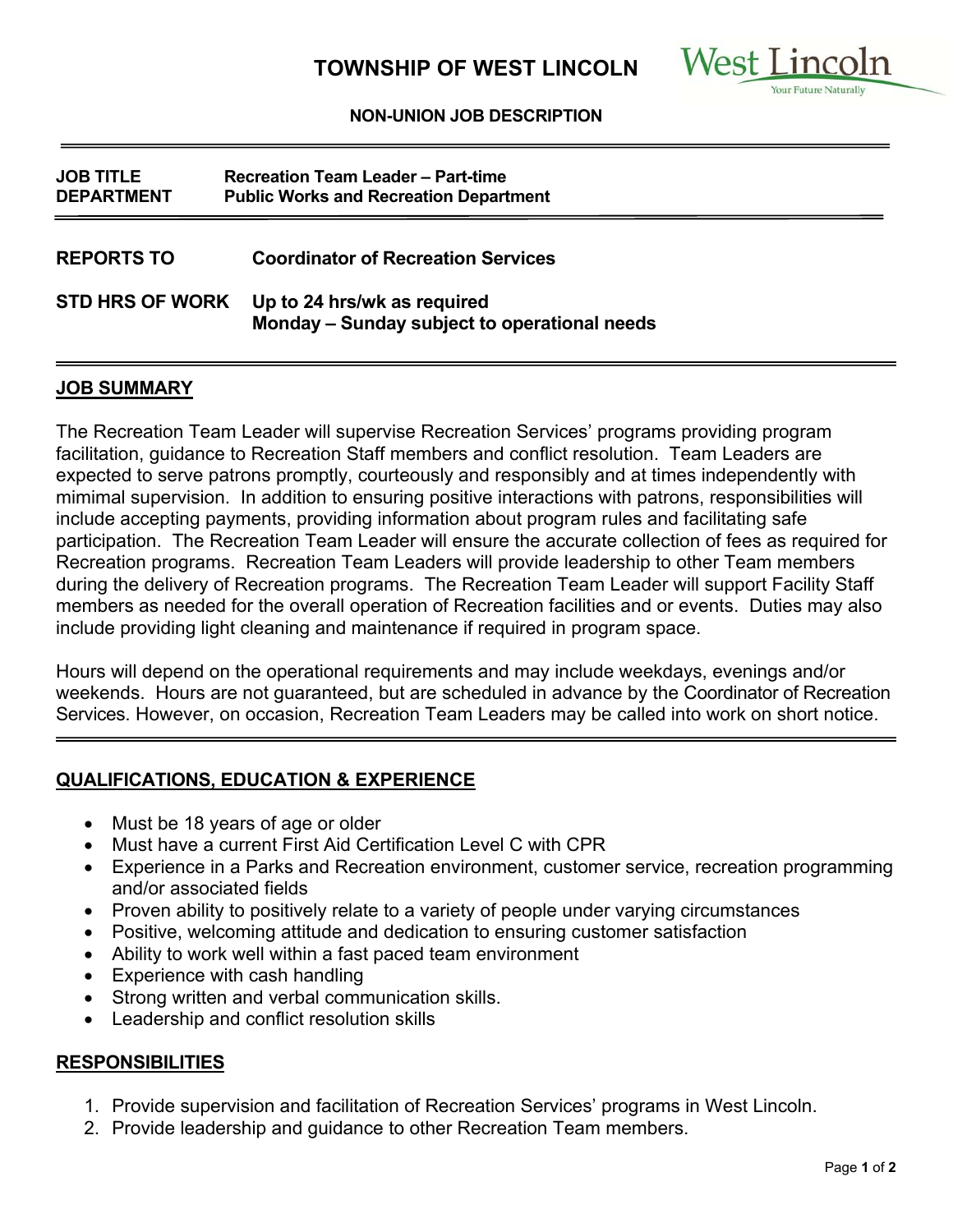

#### **NON-UNION JOB DESCRIPTION**

| <b>JOB TITLE</b><br><b>DEPARTMENT</b> | <b>Recreation Team Leader - Part-time</b><br><b>Public Works and Recreation Department</b> |
|---------------------------------------|--------------------------------------------------------------------------------------------|
| <b>REPORTS TO</b>                     | <b>Coordinator of Recreation Services</b>                                                  |
| <b>STD HRS OF WORK</b>                | Up to 24 hrs/wk as required<br>Monday - Sunday subject to operational needs                |

#### **JOB SUMMARY**

The Recreation Team Leader will supervise Recreation Services' programs providing program facilitation, guidance to Recreation Staff members and conflict resolution. Team Leaders are expected to serve patrons promptly, courteously and responsibly and at times independently with mimimal supervision. In addition to ensuring positive interactions with patrons, responsibilities will include accepting payments, providing information about program rules and facilitating safe participation. The Recreation Team Leader will ensure the accurate collection of fees as required for Recreation programs. Recreation Team Leaders will provide leadership to other Team members during the delivery of Recreation programs. The Recreation Team Leader will support Facility Staff members as needed for the overall operation of Recreation facilities and or events. Duties may also include providing light cleaning and maintenance if required in program space.

Hours will depend on the operational requirements and may include weekdays, evenings and/or weekends. Hours are not guaranteed, but are scheduled in advance by the Coordinator of Recreation Services. However, on occasion, Recreation Team Leaders may be called into work on short notice.

# **QUALIFICATIONS, EDUCATION & EXPERIENCE**

- Must be 18 years of age or older
- Must have a current First Aid Certification Level C with CPR
- Experience in a Parks and Recreation environment, customer service, recreation programming and/or associated fields
- Proven ability to positively relate to a variety of people under varying circumstances
- Positive, welcoming attitude and dedication to ensuring customer satisfaction
- Ability to work well within a fast paced team environment
- Experience with cash handling
- Strong written and verbal communication skills.
- Leadership and conflict resolution skills

# **RESPONSIBILITIES**

- 1. Provide supervision and facilitation of Recreation Services' programs in West Lincoln.
- 2. Provide leadership and guidance to other Recreation Team members.